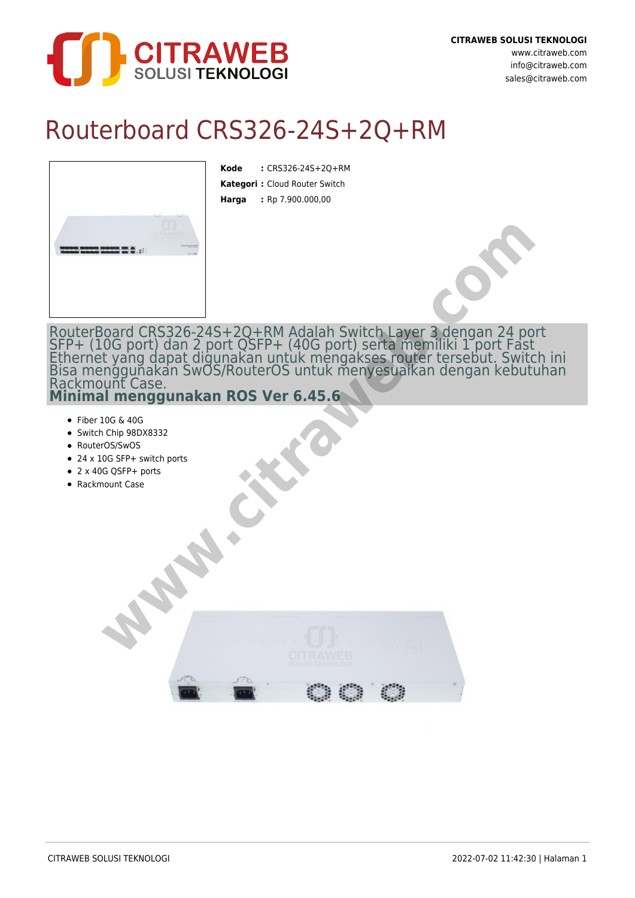

## Routerboard CRS326-24S+2Q+RM

**Kode :** CRS326-24S+2Q+RM **Kategori :** Cloud Router Switch **Harga :** Rp 7.900.000,00



- $\bullet$  Fiber 10G & 40G
- Switch Chip 98DX8332
- RouterOS/SwOS
- 24 x 10G SFP+ switch ports
- 2 x 40G QSFP+ ports
-